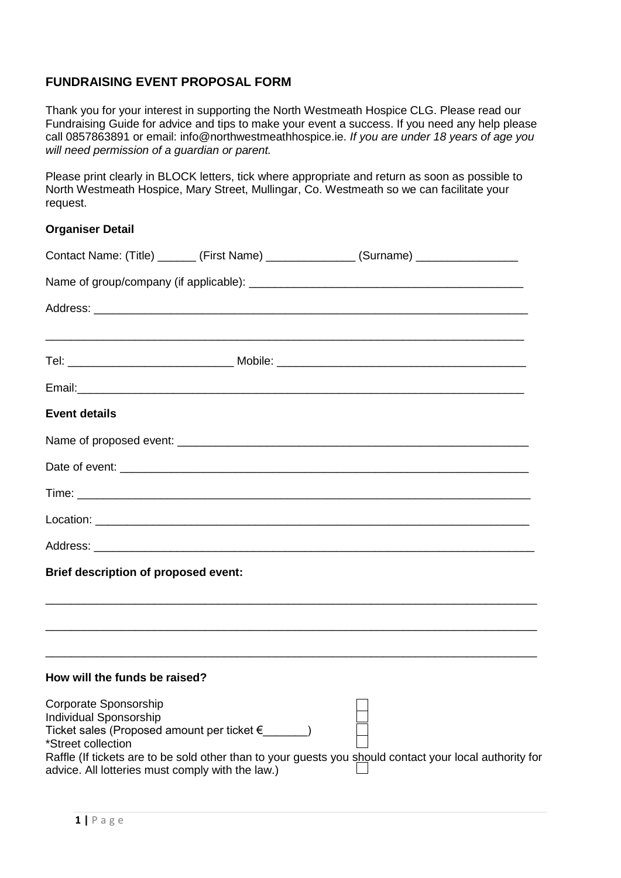# **FUNDRAISING EVENT PROPOSAL FORM**

Thank you for your interest in supporting the North Westmeath Hospice CLG. Please read our Fundraising Guide for advice and tips to make your event a success. If you need any help please call 0857863891 or email: info@northwestmeathhospice.ie. *If you are under 18 years of age you will need permission of a guardian or parent.* 

Please print clearly in BLOCK letters, tick where appropriate and return as soon as possible to North Westmeath Hospice, Mary Street, Mullingar, Co. Westmeath so we can facilitate your request.

### **Organiser Detail**

|                                                                                                                           |                                                   | Contact Name: (Title) _______ (First Name) ______________ (Surname) _____________                       |  |
|---------------------------------------------------------------------------------------------------------------------------|---------------------------------------------------|---------------------------------------------------------------------------------------------------------|--|
|                                                                                                                           |                                                   |                                                                                                         |  |
|                                                                                                                           |                                                   |                                                                                                         |  |
|                                                                                                                           |                                                   |                                                                                                         |  |
|                                                                                                                           |                                                   |                                                                                                         |  |
| <b>Event details</b>                                                                                                      |                                                   |                                                                                                         |  |
|                                                                                                                           |                                                   |                                                                                                         |  |
|                                                                                                                           |                                                   |                                                                                                         |  |
|                                                                                                                           |                                                   |                                                                                                         |  |
|                                                                                                                           |                                                   |                                                                                                         |  |
|                                                                                                                           |                                                   |                                                                                                         |  |
| <b>Brief description of proposed event:</b>                                                                               |                                                   |                                                                                                         |  |
|                                                                                                                           |                                                   |                                                                                                         |  |
|                                                                                                                           |                                                   |                                                                                                         |  |
| How will the funds be raised?                                                                                             |                                                   |                                                                                                         |  |
| Corporate Sponsorship<br>Individual Sponsorship<br>*Street collection<br>advice. All lotteries must comply with the law.) | Ticket sales (Proposed amount per ticket €______) | Raffle (If tickets are to be sold other than to your guests you should contact your local authority for |  |